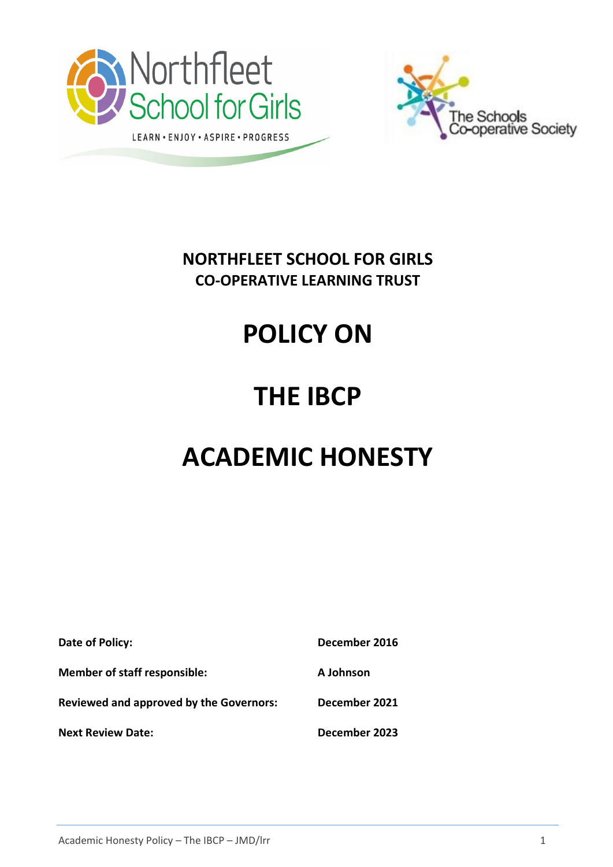



# **NORTHFLEET SCHOOL FOR GIRLS CO-OPERATIVE LEARNING TRUST**

# **POLICY ON**

# **THE IBCP**

# **ACADEMIC HONESTY**

| Date of Policy:                                | December 2016 |
|------------------------------------------------|---------------|
| <b>Member of staff responsible:</b>            | A Johnson     |
| <b>Reviewed and approved by the Governors:</b> | December 2021 |
| <b>Next Review Date:</b>                       | December 2023 |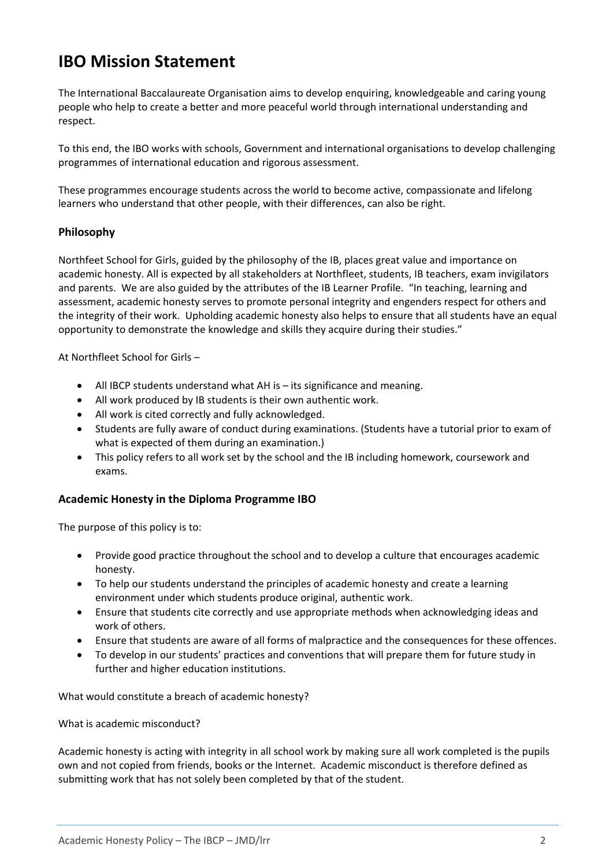# **IBO Mission Statement**

The International Baccalaureate Organisation aims to develop enquiring, knowledgeable and caring young people who help to create a better and more peaceful world through international understanding and respect.

To this end, the IBO works with schools, Government and international organisations to develop challenging programmes of international education and rigorous assessment.

These programmes encourage students across the world to become active, compassionate and lifelong learners who understand that other people, with their differences, can also be right.

#### **Philosophy**

Northfeet School for Girls, guided by the philosophy of the IB, places great value and importance on academic honesty. All is expected by all stakeholders at Northfleet, students, IB teachers, exam invigilators and parents. We are also guided by the attributes of the IB Learner Profile. "In teaching, learning and assessment, academic honesty serves to promote personal integrity and engenders respect for others and the integrity of their work. Upholding academic honesty also helps to ensure that all students have an equal opportunity to demonstrate the knowledge and skills they acquire during their studies."

At Northfleet School for Girls –

- All IBCP students understand what AH is its significance and meaning.
- All work produced by IB students is their own authentic work.
- All work is cited correctly and fully acknowledged.
- Students are fully aware of conduct during examinations. (Students have a tutorial prior to exam of what is expected of them during an examination.)
- This policy refers to all work set by the school and the IB including homework, coursework and exams.

#### **Academic Honesty in the Diploma Programme IBO**

The purpose of this policy is to:

- Provide good practice throughout the school and to develop a culture that encourages academic honesty.
- To help our students understand the principles of academic honesty and create a learning environment under which students produce original, authentic work.
- Ensure that students cite correctly and use appropriate methods when acknowledging ideas and work of others.
- Ensure that students are aware of all forms of malpractice and the consequences for these offences.
- To develop in our students' practices and conventions that will prepare them for future study in further and higher education institutions.

What would constitute a breach of academic honesty?

What is academic misconduct?

Academic honesty is acting with integrity in all school work by making sure all work completed is the pupils own and not copied from friends, books or the Internet. Academic misconduct is therefore defined as submitting work that has not solely been completed by that of the student.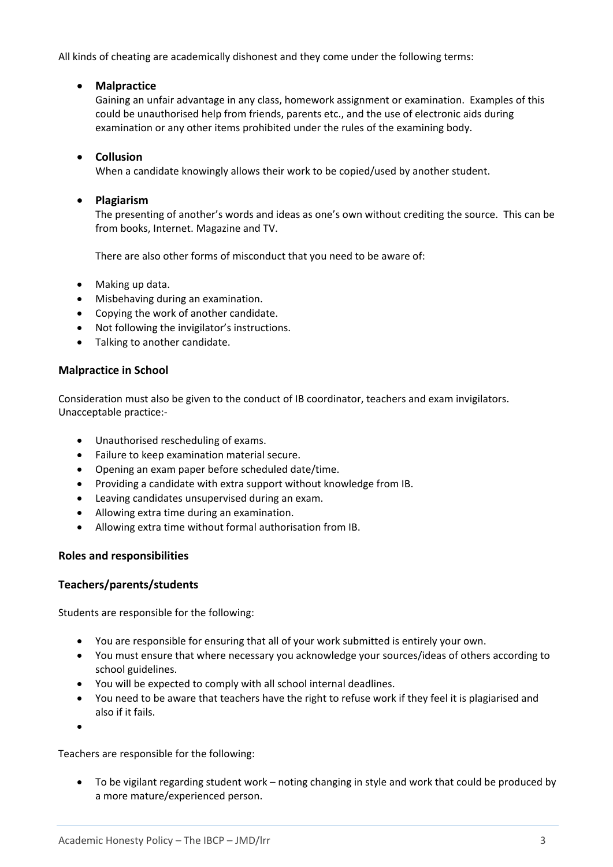All kinds of cheating are academically dishonest and they come under the following terms:

### • **Malpractice**

Gaining an unfair advantage in any class, homework assignment or examination. Examples of this could be unauthorised help from friends, parents etc., and the use of electronic aids during examination or any other items prohibited under the rules of the examining body.

### • **Collusion**

When a candidate knowingly allows their work to be copied/used by another student.

### • **Plagiarism**

The presenting of another's words and ideas as one's own without crediting the source. This can be from books, Internet. Magazine and TV.

There are also other forms of misconduct that you need to be aware of:

- Making up data.
- Misbehaving during an examination.
- Copying the work of another candidate.
- Not following the invigilator's instructions.
- Talking to another candidate.

### **Malpractice in School**

Consideration must also be given to the conduct of IB coordinator, teachers and exam invigilators. Unacceptable practice:-

- Unauthorised rescheduling of exams.
- Failure to keep examination material secure.
- Opening an exam paper before scheduled date/time.
- Providing a candidate with extra support without knowledge from IB.
- Leaving candidates unsupervised during an exam.
- Allowing extra time during an examination.
- Allowing extra time without formal authorisation from IB.

## **Roles and responsibilities**

## **Teachers/parents/students**

Students are responsible for the following:

- You are responsible for ensuring that all of your work submitted is entirely your own.
- You must ensure that where necessary you acknowledge your sources/ideas of others according to school guidelines.
- You will be expected to comply with all school internal deadlines.
- You need to be aware that teachers have the right to refuse work if they feel it is plagiarised and also if it fails.
- •

Teachers are responsible for the following:

• To be vigilant regarding student work – noting changing in style and work that could be produced by a more mature/experienced person.